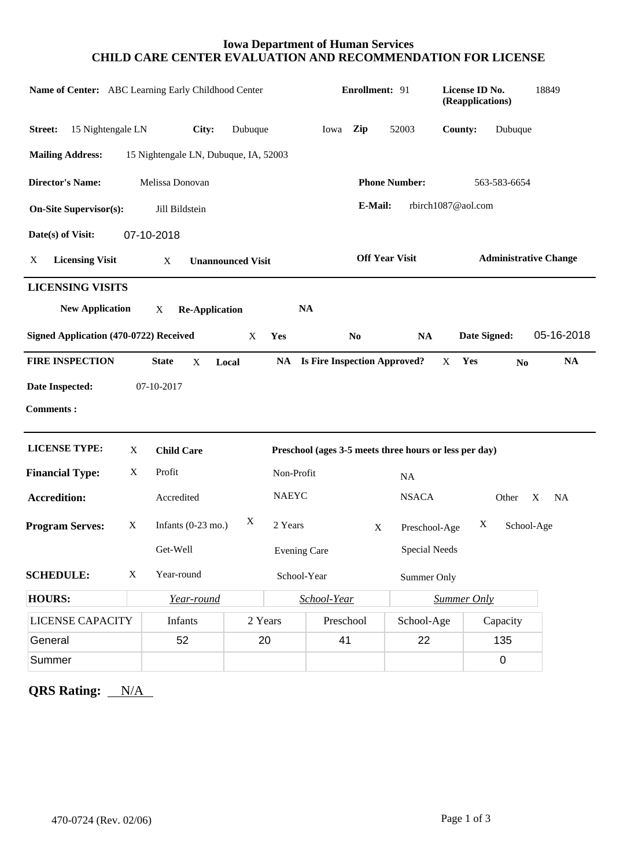## **Iowa Department of Human Services CHILD CARE CENTER EVALUATION AND RECOMMENDATION FOR LICENSE**

| Name of Center: ABC Learning Early Childhood Center          |             |                                       |         |              | Enrollment: 91                  |                |                                                        | License ID No.<br>(Reapplications) |                              |                | 18849          |  |
|--------------------------------------------------------------|-------------|---------------------------------------|---------|--------------|---------------------------------|----------------|--------------------------------------------------------|------------------------------------|------------------------------|----------------|----------------|--|
| 15 Nightengale LN<br>Street:                                 |             | City:                                 | Dubuque |              | Iowa                            | Zip            | 52003                                                  |                                    | County:                      | Dubuque        |                |  |
| <b>Mailing Address:</b>                                      |             | 15 Nightengale LN, Dubuque, IA, 52003 |         |              |                                 |                |                                                        |                                    |                              |                |                |  |
| <b>Director's Name:</b>                                      |             | Melissa Donovan                       |         |              |                                 |                | <b>Phone Number:</b>                                   |                                    |                              | 563-583-6654   |                |  |
| <b>On-Site Supervisor(s):</b>                                |             | Jill Bildstein                        |         |              |                                 | E-Mail:        |                                                        |                                    | rbirch1087@aol.com           |                |                |  |
| Date(s) of Visit:                                            |             | 07-10-2018                            |         |              |                                 |                |                                                        |                                    |                              |                |                |  |
| <b>Licensing Visit</b><br>X<br>X<br><b>Unannounced Visit</b> |             |                                       |         |              | <b>Off Year Visit</b>           |                |                                                        |                                    | <b>Administrative Change</b> |                |                |  |
| <b>LICENSING VISITS</b><br><b>New Application</b>            |             | <b>Re-Application</b><br>X            |         |              | <b>NA</b>                       |                |                                                        |                                    |                              |                |                |  |
| Signed Application (470-0722) Received                       |             |                                       | X       | Yes          |                                 | N <sub>0</sub> | <b>NA</b>                                              |                                    | Date Signed:                 |                | 05-16-2018     |  |
| <b>FIRE INSPECTION</b>                                       |             | <b>State</b><br>X                     | Local   |              | NA Is Fire Inspection Approved? |                |                                                        | X                                  | Yes                          | N <sub>0</sub> | <b>NA</b>      |  |
| Date Inspected:                                              |             | 07-10-2017                            |         |              |                                 |                |                                                        |                                    |                              |                |                |  |
| <b>Comments:</b>                                             |             |                                       |         |              |                                 |                |                                                        |                                    |                              |                |                |  |
| <b>LICENSE TYPE:</b>                                         | X           | <b>Child Care</b>                     |         |              |                                 |                | Preschool (ages 3-5 meets three hours or less per day) |                                    |                              |                |                |  |
| <b>Financial Type:</b>                                       | X           | Profit                                |         |              | Non-Profit<br><b>NA</b>         |                |                                                        |                                    |                              |                |                |  |
| <b>Accredition:</b>                                          |             | Accredited                            |         | <b>NAEYC</b> |                                 |                | <b>NSACA</b>                                           |                                    |                              | Other          | X<br><b>NA</b> |  |
| <b>Program Serves:</b><br>X                                  |             | X<br>Infants $(0-23 \text{ mo.})$     |         |              | 2 Years<br>$\mathbf X$          |                |                                                        | X<br>School-Age<br>Preschool-Age   |                              |                |                |  |
|                                                              |             | Get-Well                              |         |              | <b>Evening Care</b>             |                | <b>Special Needs</b>                                   |                                    |                              |                |                |  |
| <b>SCHEDULE:</b>                                             | $\mathbf X$ | Year-round                            |         |              | School-Year                     | Summer Only    |                                                        |                                    |                              |                |                |  |
| <b>HOURS:</b>                                                |             | Year-round                            |         | School-Year  |                                 |                |                                                        | <b>Summer Only</b>                 |                              |                |                |  |
| <b>LICENSE CAPACITY</b>                                      |             | Infants                               | 2 Years |              | Preschool                       |                | School-Age                                             |                                    |                              | Capacity       |                |  |
| General                                                      |             | 52                                    | 20      |              | 41                              |                | 22                                                     |                                    |                              | 135            |                |  |
| Summer                                                       |             |                                       |         |              |                                 |                |                                                        |                                    |                              | $\mathbf 0$    |                |  |

**QRS Rating:** N/A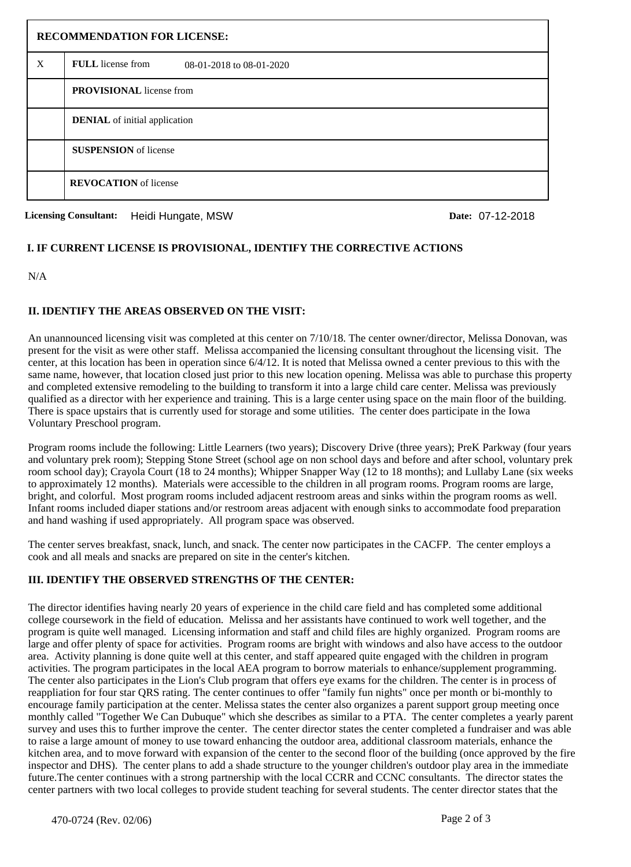| <b>RECOMMENDATION FOR LICENSE:</b> |                                                      |  |  |  |  |
|------------------------------------|------------------------------------------------------|--|--|--|--|
| X                                  | <b>FULL</b> license from<br>08-01-2018 to 08-01-2020 |  |  |  |  |
|                                    | <b>PROVISIONAL</b> license from                      |  |  |  |  |
|                                    | <b>DENIAL</b> of initial application                 |  |  |  |  |
|                                    | <b>SUSPENSION</b> of license                         |  |  |  |  |
|                                    | <b>REVOCATION</b> of license                         |  |  |  |  |

**Licensing Consultant: Date:** Heidi Hungate, MSW 07-12-2018

## **I. IF CURRENT LICENSE IS PROVISIONAL, IDENTIFY THE CORRECTIVE ACTIONS**

N/A

## **II. IDENTIFY THE AREAS OBSERVED ON THE VISIT:**

An unannounced licensing visit was completed at this center on 7/10/18. The center owner/director, Melissa Donovan, was present for the visit as were other staff. Melissa accompanied the licensing consultant throughout the licensing visit. The center, at this location has been in operation since 6/4/12. It is noted that Melissa owned a center previous to this with the same name, however, that location closed just prior to this new location opening. Melissa was able to purchase this property and completed extensive remodeling to the building to transform it into a large child care center. Melissa was previously qualified as a director with her experience and training. This is a large center using space on the main floor of the building. There is space upstairs that is currently used for storage and some utilities. The center does participate in the Iowa Voluntary Preschool program.

Program rooms include the following: Little Learners (two years); Discovery Drive (three years); PreK Parkway (four years and voluntary prek room); Stepping Stone Street (school age on non school days and before and after school, voluntary prek room school day); Crayola Court (18 to 24 months); Whipper Snapper Way (12 to 18 months); and Lullaby Lane (six weeks to approximately 12 months). Materials were accessible to the children in all program rooms. Program rooms are large, bright, and colorful. Most program rooms included adjacent restroom areas and sinks within the program rooms as well. Infant rooms included diaper stations and/or restroom areas adjacent with enough sinks to accommodate food preparation and hand washing if used appropriately. All program space was observed.

The center serves breakfast, snack, lunch, and snack. The center now participates in the CACFP. The center employs a cook and all meals and snacks are prepared on site in the center's kitchen.

# **III. IDENTIFY THE OBSERVED STRENGTHS OF THE CENTER:**

The director identifies having nearly 20 years of experience in the child care field and has completed some additional college coursework in the field of education. Melissa and her assistants have continued to work well together, and the program is quite well managed. Licensing information and staff and child files are highly organized. Program rooms are large and offer plenty of space for activities. Program rooms are bright with windows and also have access to the outdoor area. Activity planning is done quite well at this center, and staff appeared quite engaged with the children in program activities. The program participates in the local AEA program to borrow materials to enhance/supplement programming. The center also participates in the Lion's Club program that offers eye exams for the children. The center is in process of reappliation for four star QRS rating. The center continues to offer "family fun nights" once per month or bi-monthly to encourage family participation at the center. Melissa states the center also organizes a parent support group meeting once monthly called "Together We Can Dubuque" which she describes as similar to a PTA. The center completes a yearly parent survey and uses this to further improve the center. The center director states the center completed a fundraiser and was able to raise a large amount of money to use toward enhancing the outdoor area, additional classroom materials, enhance the kitchen area, and to move forward with expansion of the center to the second floor of the building (once approved by the fire inspector and DHS). The center plans to add a shade structure to the younger children's outdoor play area in the immediate future.The center continues with a strong partnership with the local CCRR and CCNC consultants. The director states the center partners with two local colleges to provide student teaching for several students. The center director states that the